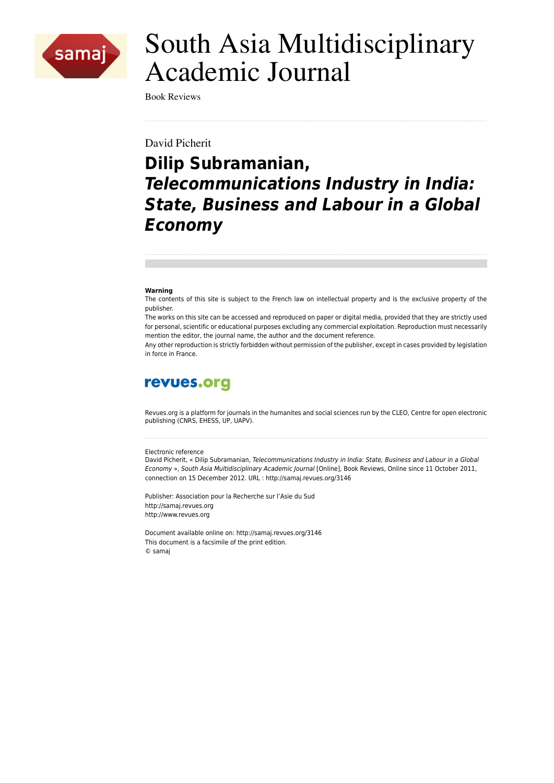

# South Asia Multidisciplinary **Academic Journal**

**Book Reviews** 

David Picherit

## **Dilip Subramanian, Telecommunications Industry in India: State, Business and Labour in a Global Economy**

#### Warning

The contents of this site is subject to the French law on intellectual property and is the exclusive property of the publisher.

The works on this site can be accessed and reproduced on paper or digital media, provided that they are strictly used for personal, scientific or educational purposes excluding any commercial exploitation. Reproduction must necessarily mention the editor, the journal name, the author and the document reference.

Any other reproduction is strictly forbidden without permission of the publisher, except in cases provided by legislation in force in France

### revues.org

Revues.org is a platform for journals in the humanites and social sciences run by the CLEO, Centre for open electronic publishing (CNRS, EHESS, UP, UAPV).

#### Electronic reference

David Picherit, « Dilip Subramanian, Telecommunications Industry in India: State, Business and Labour in a Global Economy », South Asia Multidisciplinary Academic Journal [Online], Book Reviews, Online since 11 October 2011, connection on 15 December 2012. URL : http://samaj.revues.org/3146

Publisher: Association pour la Recherche sur l'Asie du Sud http://samaj.revues.org http://www.revues.org

Document available online on: http://samai.revues.org/3146 This document is a facsimile of the print edition. © samai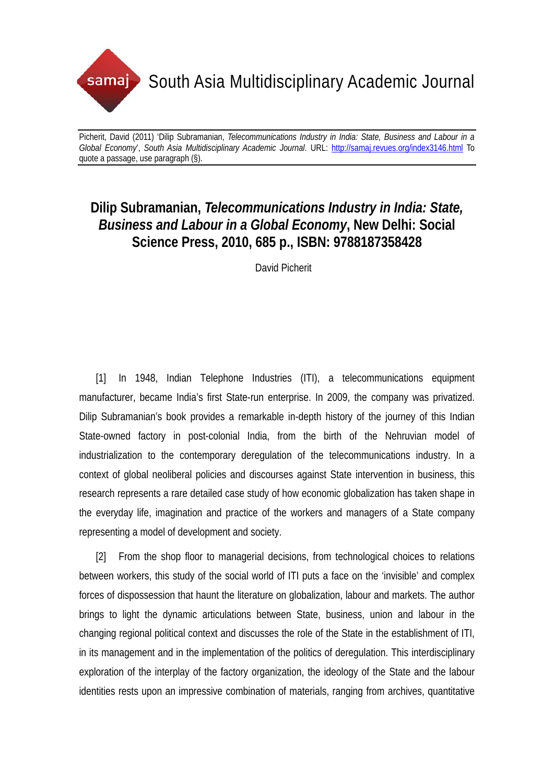

## **Dilip Subramanian,** *Telecommunications Industry in India: State, Business and Labour in a Global Economy***, New Delhi: Social Science Press, 2010, 685 p., ISBN: 9788187358428**

David Picherit

[1] In 1948, Indian Telephone Industries (ITI), a telecommunications equipment manufacturer, became India's first State-run enterprise. In 2009, the company was privatized. Dilip Subramanian's book provides a remarkable in-depth history of the journey of this Indian State-owned factory in post-colonial India, from the birth of the Nehruvian model of industrialization to the contemporary deregulation of the telecommunications industry. In a context of global neoliberal policies and discourses against State intervention in business, this research represents a rare detailed case study of how economic globalization has taken shape in the everyday life, imagination and practice of the workers and managers of a State company representing a model of development and society.

[2] From the shop floor to managerial decisions, from technological choices to relations between workers, this study of the social world of ITI puts a face on the 'invisible' and complex forces of dispossession that haunt the literature on globalization, labour and markets. The author brings to light the dynamic articulations between State, business, union and labour in the changing regional political context and discusses the role of the State in the establishment of ITI, in its management and in the implementation of the politics of deregulation. This interdisciplinary exploration of the interplay of the factory organization, the ideology of the State and the labour identities rests upon an impressive combination of materials, ranging from archives, quantitative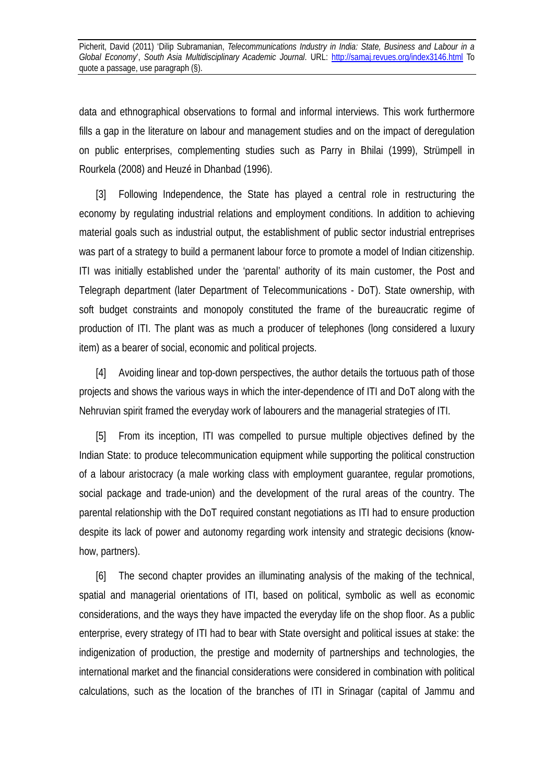data and ethnographical observations to formal and informal interviews. This work furthermore fills a gap in the literature on labour and management studies and on the impact of deregulation on public enterprises, complementing studies such as Parry in Bhilai (1999), Strümpell in Rourkela (2008) and Heuzé in Dhanbad (1996).

[3] Following Independence, the State has played a central role in restructuring the economy by regulating industrial relations and employment conditions. In addition to achieving material goals such as industrial output, the establishment of public sector industrial entreprises was part of a strategy to build a permanent labour force to promote a model of Indian citizenship. ITI was initially established under the 'parental' authority of its main customer, the Post and Telegraph department (later Department of Telecommunications - DoT). State ownership, with soft budget constraints and monopoly constituted the frame of the bureaucratic regime of production of ITI. The plant was as much a producer of telephones (long considered a luxury item) as a bearer of social, economic and political projects.

[4] Avoiding linear and top-down perspectives, the author details the tortuous path of those projects and shows the various ways in which the inter-dependence of ITI and DoT along with the Nehruvian spirit framed the everyday work of labourers and the managerial strategies of ITI.

[5] From its inception, ITI was compelled to pursue multiple objectives defined by the Indian State: to produce telecommunication equipment while supporting the political construction of a labour aristocracy (a male working class with employment guarantee, regular promotions, social package and trade-union) and the development of the rural areas of the country. The parental relationship with the DoT required constant negotiations as ITI had to ensure production despite its lack of power and autonomy regarding work intensity and strategic decisions (knowhow, partners).

[6] The second chapter provides an illuminating analysis of the making of the technical, spatial and managerial orientations of ITI, based on political, symbolic as well as economic considerations, and the ways they have impacted the everyday life on the shop floor. As a public enterprise, every strategy of ITI had to bear with State oversight and political issues at stake: the indigenization of production, the prestige and modernity of partnerships and technologies, the international market and the financial considerations were considered in combination with political calculations, such as the location of the branches of ITI in Srinagar (capital of Jammu and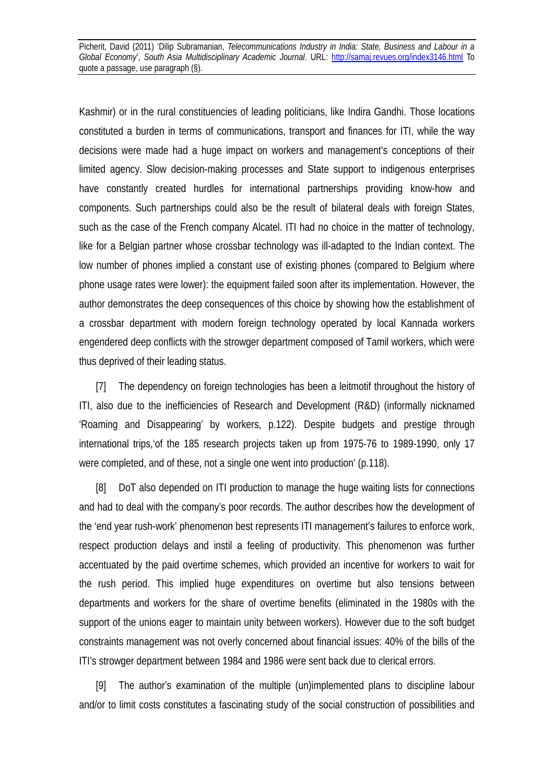Kashmir) or in the rural constituencies of leading politicians, like Indira Gandhi. Those locations constituted a burden in terms of communications, transport and finances for ITI, while the way decisions were made had a huge impact on workers and management's conceptions of their limited agency. Slow decision-making processes and State support to indigenous enterprises have constantly created hurdles for international partnerships providing know-how and components. Such partnerships could also be the result of bilateral deals with foreign States, such as the case of the French company Alcatel. ITI had no choice in the matter of technology, like for a Belgian partner whose crossbar technology was ill-adapted to the Indian context. The low number of phones implied a constant use of existing phones (compared to Belgium where phone usage rates were lower): the equipment failed soon after its implementation. However, the author demonstrates the deep consequences of this choice by showing how the establishment of a crossbar department with modern foreign technology operated by local Kannada workers engendered deep conflicts with the strowger department composed of Tamil workers, which were thus deprived of their leading status.

[7] The dependency on foreign technologies has been a leitmotif throughout the history of ITI, also due to the inefficiencies of Research and Development (R&D) (informally nicknamed 'Roaming and Disappearing' by workers, p.122). Despite budgets and prestige through international trips,'of the 185 research projects taken up from 1975-76 to 1989-1990, only 17 were completed, and of these, not a single one went into production' (p.118).

[8] DoT also depended on ITI production to manage the huge waiting lists for connections and had to deal with the company's poor records. The author describes how the development of the 'end year rush-work' phenomenon best represents ITI management's failures to enforce work, respect production delays and instil a feeling of productivity. This phenomenon was further accentuated by the paid overtime schemes, which provided an incentive for workers to wait for the rush period. This implied huge expenditures on overtime but also tensions between departments and workers for the share of overtime benefits (eliminated in the 1980s with the support of the unions eager to maintain unity between workers). However due to the soft budget constraints management was not overly concerned about financial issues: 40% of the bills of the ITI's strowger department between 1984 and 1986 were sent back due to clerical errors.

[9] The author's examination of the multiple (un)implemented plans to discipline labour and/or to limit costs constitutes a fascinating study of the social construction of possibilities and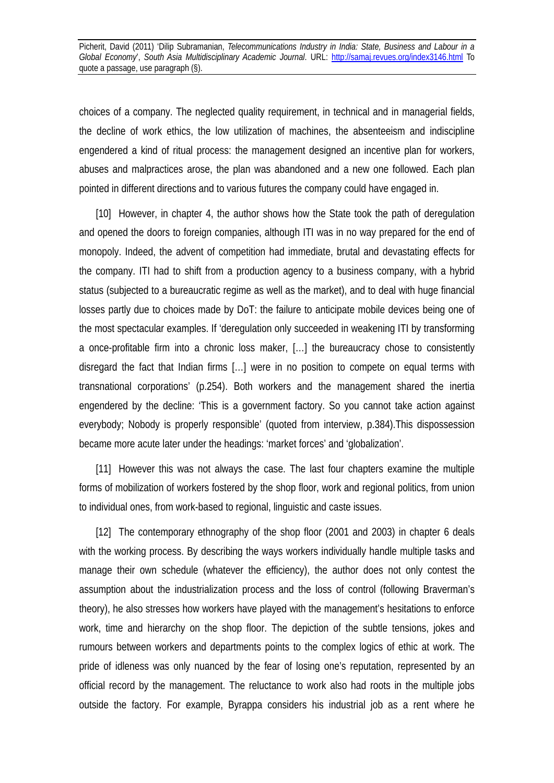choices of a company. The neglected quality requirement, in technical and in managerial fields, the decline of work ethics, the low utilization of machines, the absenteeism and indiscipline engendered a kind of ritual process: the management designed an incentive plan for workers, abuses and malpractices arose, the plan was abandoned and a new one followed. Each plan pointed in different directions and to various futures the company could have engaged in.

[10] However, in chapter 4, the author shows how the State took the path of deregulation and opened the doors to foreign companies, although ITI was in no way prepared for the end of monopoly. Indeed, the advent of competition had immediate, brutal and devastating effects for the company. ITI had to shift from a production agency to a business company, with a hybrid status (subjected to a bureaucratic regime as well as the market), and to deal with huge financial losses partly due to choices made by DoT: the failure to anticipate mobile devices being one of the most spectacular examples. If 'deregulation only succeeded in weakening ITI by transforming a once-profitable firm into a chronic loss maker, […] the bureaucracy chose to consistently disregard the fact that Indian firms […] were in no position to compete on equal terms with transnational corporations' (p.254). Both workers and the management shared the inertia engendered by the decline: 'This is a government factory. So you cannot take action against everybody; Nobody is properly responsible' (quoted from interview, p.384).This dispossession became more acute later under the headings: 'market forces' and 'globalization'.

[11] However this was not always the case. The last four chapters examine the multiple forms of mobilization of workers fostered by the shop floor, work and regional politics, from union to individual ones, from work-based to regional, linguistic and caste issues.

[12] The contemporary ethnography of the shop floor (2001 and 2003) in chapter 6 deals with the working process. By describing the ways workers individually handle multiple tasks and manage their own schedule (whatever the efficiency), the author does not only contest the assumption about the industrialization process and the loss of control (following Braverman's theory), he also stresses how workers have played with the management's hesitations to enforce work, time and hierarchy on the shop floor. The depiction of the subtle tensions, jokes and rumours between workers and departments points to the complex logics of ethic at work. The pride of idleness was only nuanced by the fear of losing one's reputation, represented by an official record by the management. The reluctance to work also had roots in the multiple jobs outside the factory. For example, Byrappa considers his industrial job as a rent where he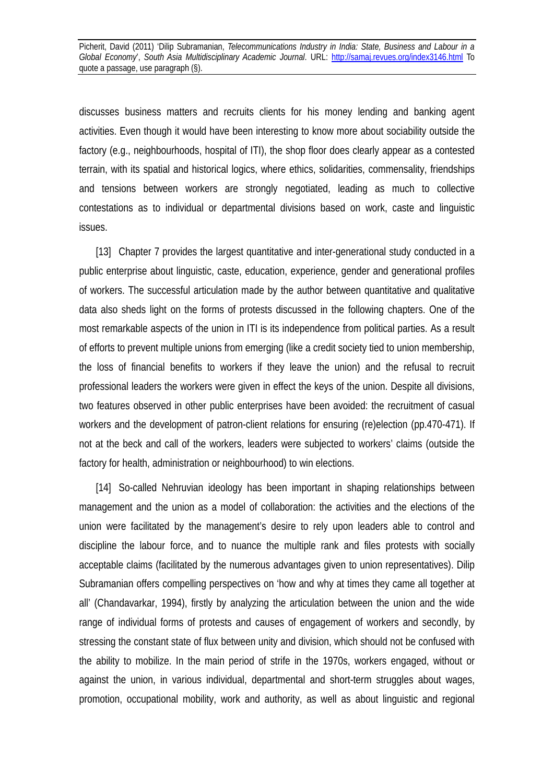discusses business matters and recruits clients for his money lending and banking agent activities. Even though it would have been interesting to know more about sociability outside the factory (e.g., neighbourhoods, hospital of ITI), the shop floor does clearly appear as a contested terrain, with its spatial and historical logics, where ethics, solidarities, commensality, friendships and tensions between workers are strongly negotiated, leading as much to collective contestations as to individual or departmental divisions based on work, caste and linguistic issues.

[13] Chapter 7 provides the largest quantitative and inter-generational study conducted in a public enterprise about linguistic, caste, education, experience, gender and generational profiles of workers. The successful articulation made by the author between quantitative and qualitative data also sheds light on the forms of protests discussed in the following chapters. One of the most remarkable aspects of the union in ITI is its independence from political parties. As a result of efforts to prevent multiple unions from emerging (like a credit society tied to union membership, the loss of financial benefits to workers if they leave the union) and the refusal to recruit professional leaders the workers were given in effect the keys of the union. Despite all divisions, two features observed in other public enterprises have been avoided: the recruitment of casual workers and the development of patron-client relations for ensuring (re)election (pp.470-471). If not at the beck and call of the workers, leaders were subjected to workers' claims (outside the factory for health, administration or neighbourhood) to win elections.

[14] So-called Nehruvian ideology has been important in shaping relationships between management and the union as a model of collaboration: the activities and the elections of the union were facilitated by the management's desire to rely upon leaders able to control and discipline the labour force, and to nuance the multiple rank and files protests with socially acceptable claims (facilitated by the numerous advantages given to union representatives). Dilip Subramanian offers compelling perspectives on 'how and why at times they came all together at all' (Chandavarkar, 1994), firstly by analyzing the articulation between the union and the wide range of individual forms of protests and causes of engagement of workers and secondly, by stressing the constant state of flux between unity and division, which should not be confused with the ability to mobilize. In the main period of strife in the 1970s, workers engaged, without or against the union, in various individual, departmental and short-term struggles about wages, promotion, occupational mobility, work and authority, as well as about linguistic and regional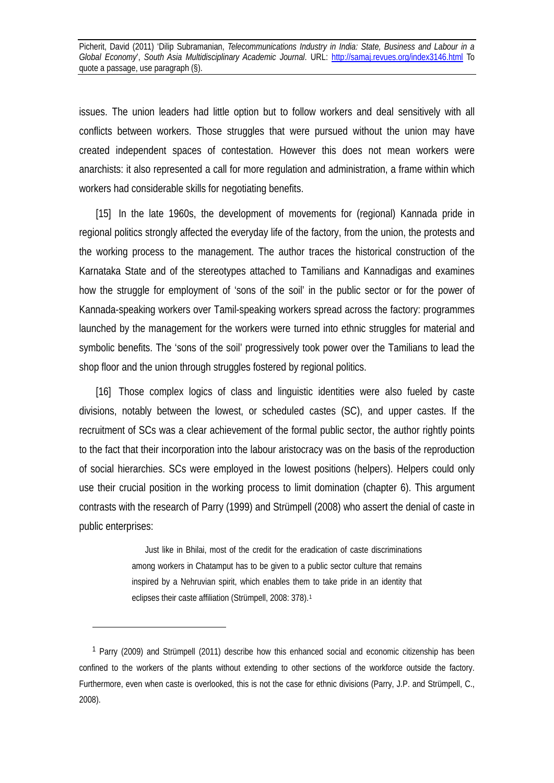issues. The union leaders had little option but to follow workers and deal sensitively with all conflicts between workers. Those struggles that were pursued without the union may have created independent spaces of contestation. However this does not mean workers were anarchists: it also represented a call for more regulation and administration, a frame within which workers had considerable skills for negotiating benefits.

[15] In the late 1960s, the development of movements for (regional) Kannada pride in regional politics strongly affected the everyday life of the factory, from the union, the protests and the working process to the management. The author traces the historical construction of the Karnataka State and of the stereotypes attached to Tamilians and Kannadigas and examines how the struggle for employment of 'sons of the soil' in the public sector or for the power of Kannada-speaking workers over Tamil-speaking workers spread across the factory: programmes launched by the management for the workers were turned into ethnic struggles for material and symbolic benefits. The 'sons of the soil' progressively took power over the Tamilians to lead the shop floor and the union through struggles fostered by regional politics.

[16] Those complex logics of class and linguistic identities were also fueled by caste divisions, notably between the lowest, or scheduled castes (SC), and upper castes. If the recruitment of SCs was a clear achievement of the formal public sector, the author rightly points to the fact that their incorporation into the labour aristocracy was on the basis of the reproduction of social hierarchies. SCs were employed in the lowest positions (helpers). Helpers could only use their crucial position in the working process to limit domination (chapter 6). This argument contrasts with the research of Parry (1999) and Strümpell (2008) who assert the denial of caste in public enterprises:

> Just like in Bhilai, most of the credit for the eradication of caste discriminations among workers in Chatamput has to be given to a public sector culture that remains inspired by a Nehruvian spirit, which enables them to take pride in an identity that eclipses their caste affiliation (Strümpell, 2008: 378).<sup>1</sup>

<u>.</u>

<sup>1</sup> Parry (2009) and Strümpell (2011) describe how this enhanced social and economic citizenship has been confined to the workers of the plants without extending to other sections of the workforce outside the factory. Furthermore, even when caste is overlooked, this is not the case for ethnic divisions (Parry, J.P. and Strümpell, C., 2008).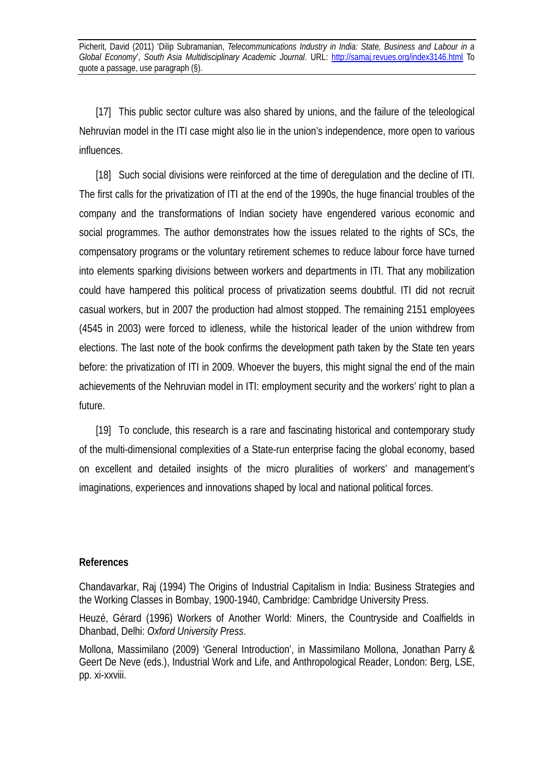[17] This public sector culture was also shared by unions, and the failure of the teleological Nehruvian model in the ITI case might also lie in the union's independence, more open to various influences.

[18] Such social divisions were reinforced at the time of deregulation and the decline of ITI. The first calls for the privatization of ITI at the end of the 1990s, the huge financial troubles of the company and the transformations of Indian society have engendered various economic and social programmes. The author demonstrates how the issues related to the rights of SCs, the compensatory programs or the voluntary retirement schemes to reduce labour force have turned into elements sparking divisions between workers and departments in ITI. That any mobilization could have hampered this political process of privatization seems doubtful. ITI did not recruit casual workers, but in 2007 the production had almost stopped. The remaining 2151 employees (4545 in 2003) were forced to idleness, while the historical leader of the union withdrew from elections. The last note of the book confirms the development path taken by the State ten years before: the privatization of ITI in 2009. Whoever the buyers, this might signal the end of the main achievements of the Nehruvian model in ITI: employment security and the workers' right to plan a future.

[19] To conclude, this research is a rare and fascinating historical and contemporary study of the multi-dimensional complexities of a State-run enterprise facing the global economy, based on excellent and detailed insights of the micro pluralities of workers' and management's imaginations, experiences and innovations shaped by local and national political forces.

#### **References**

Chandavarkar, Raj (1994) The Origins of Industrial Capitalism in India: Business Strategies and the Working Classes in Bombay, 1900-1940, Cambridge: Cambridge University Press.

Heuzé, Gérard (1996) Workers of Another World: Miners, the Countryside and Coalfields in Dhanbad, Delhi: *Oxford University Press*.

Mollona, Massimilano (2009) 'General Introduction', in Massimilano Mollona, Jonathan Parry & Geert De Neve (eds.), Industrial Work and Life, and Anthropological Reader, London: Berg, LSE, pp. xi-xxviii.